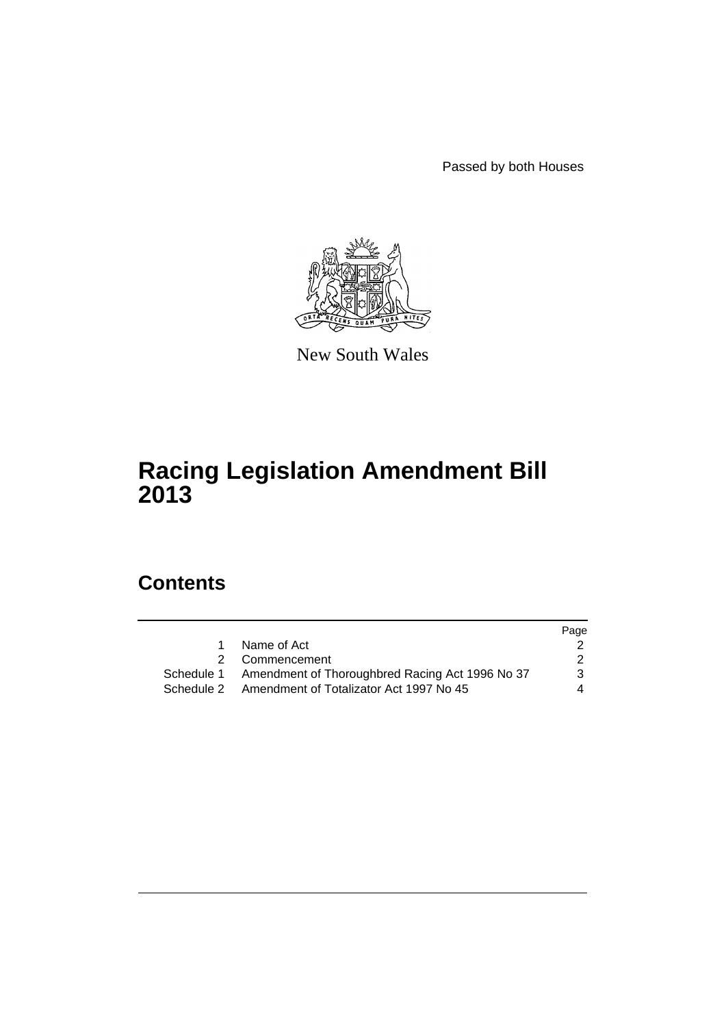Passed by both Houses



New South Wales

# **Racing Legislation Amendment Bill 2013**

## **Contents**

|   |                                                            | Page          |
|---|------------------------------------------------------------|---------------|
| 1 | Name of Act                                                |               |
|   | 2 Commencement                                             | $\mathcal{P}$ |
|   | Schedule 1 Amendment of Thoroughbred Racing Act 1996 No 37 | 3             |
|   | Schedule 2 Amendment of Totalizator Act 1997 No 45         | 4             |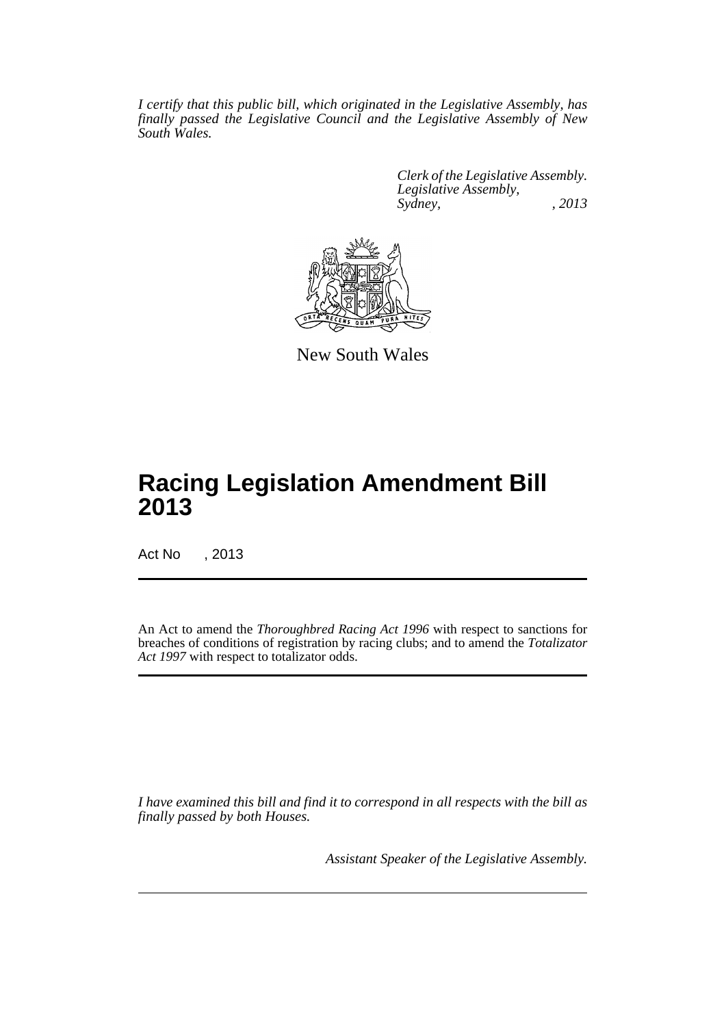*I certify that this public bill, which originated in the Legislative Assembly, has finally passed the Legislative Council and the Legislative Assembly of New South Wales.*

> *Clerk of the Legislative Assembly. Legislative Assembly, Sydney, , 2013*



New South Wales

## **Racing Legislation Amendment Bill 2013**

Act No , 2013

An Act to amend the *Thoroughbred Racing Act 1996* with respect to sanctions for breaches of conditions of registration by racing clubs; and to amend the *Totalizator Act 1997* with respect to totalizator odds.

*I have examined this bill and find it to correspond in all respects with the bill as finally passed by both Houses.*

*Assistant Speaker of the Legislative Assembly.*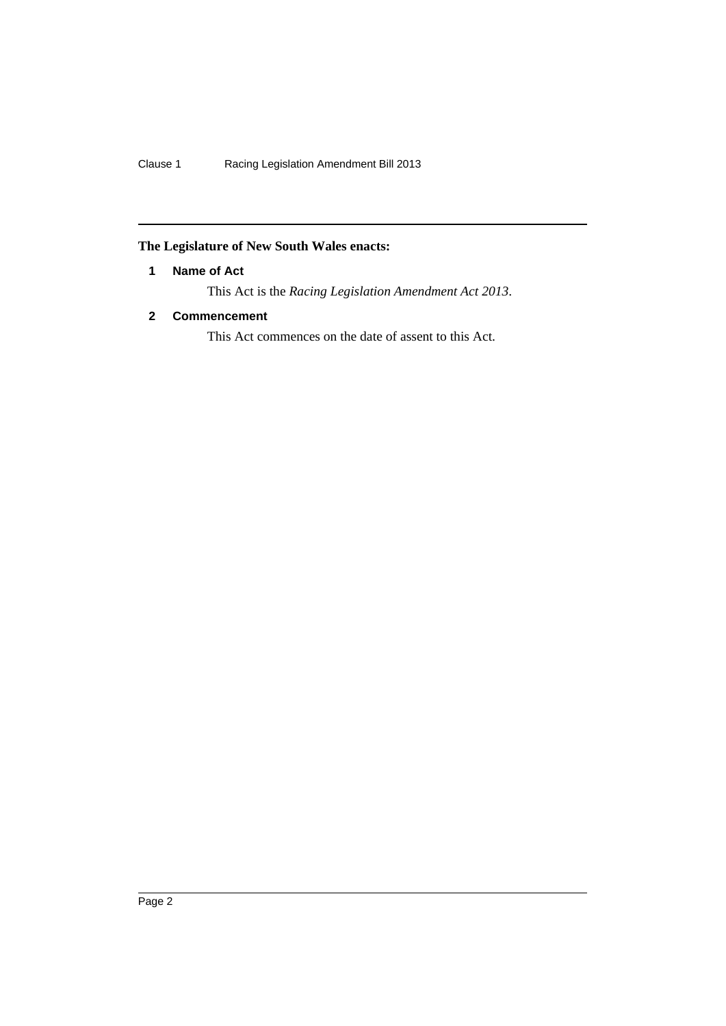## <span id="page-3-0"></span>**The Legislature of New South Wales enacts:**

### **1 Name of Act**

This Act is the *Racing Legislation Amendment Act 2013*.

### <span id="page-3-1"></span>**2 Commencement**

This Act commences on the date of assent to this Act.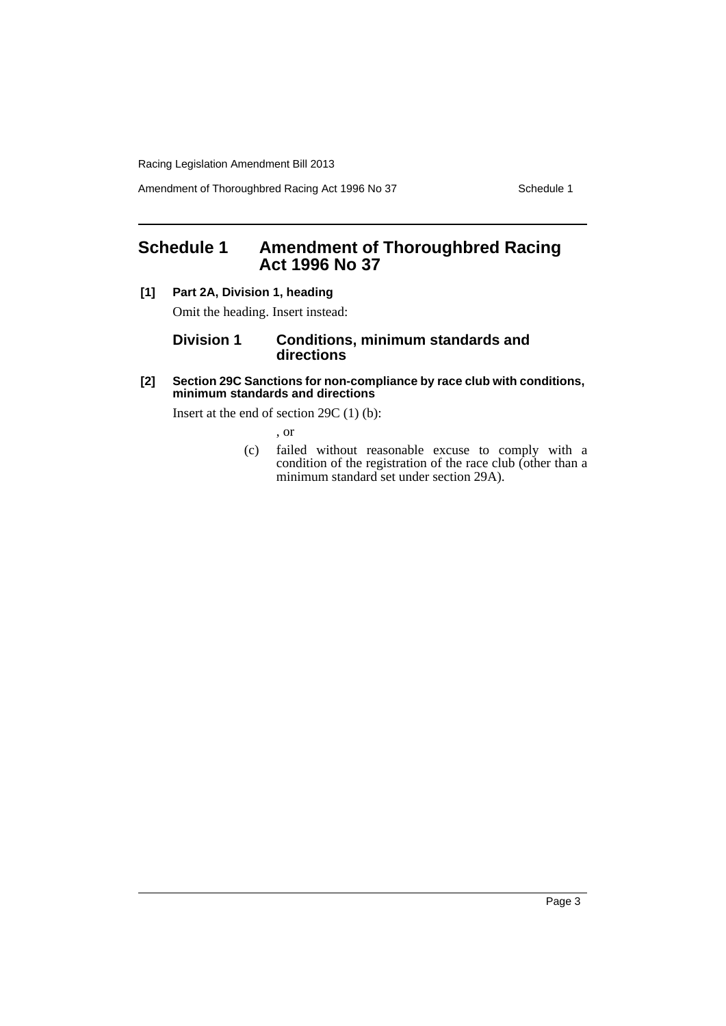Racing Legislation Amendment Bill 2013

Amendment of Thoroughbred Racing Act 1996 No 37 Schedule 1

## <span id="page-4-0"></span>**Schedule 1 Amendment of Thoroughbred Racing Act 1996 No 37**

**[1] Part 2A, Division 1, heading**

Omit the heading. Insert instead:

#### **Division 1 Conditions, minimum standards and directions**

#### **[2] Section 29C Sanctions for non-compliance by race club with conditions, minimum standards and directions**

Insert at the end of section 29C (1) (b):

, or

(c) failed without reasonable excuse to comply with a condition of the registration of the race club (other than a minimum standard set under section 29A).